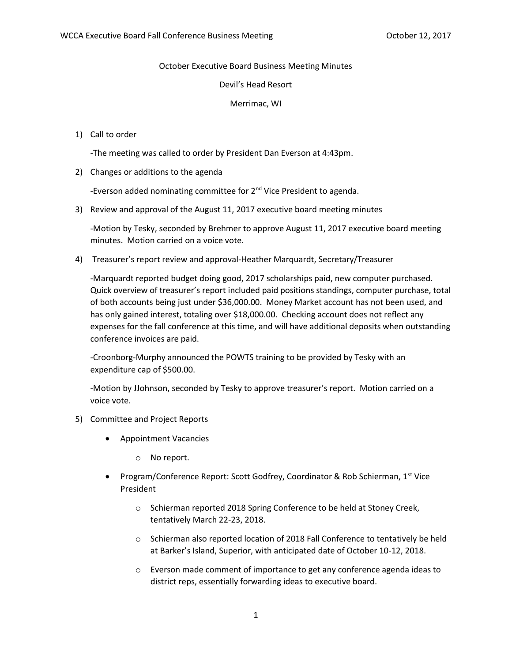October Executive Board Business Meeting Minutes

Devil's Head Resort

Merrimac, WI

## 1) Call to order

-The meeting was called to order by President Dan Everson at 4:43pm.

2) Changes or additions to the agenda

-Everson added nominating committee for 2<sup>nd</sup> Vice President to agenda.

3) Review and approval of the August 11, 2017 executive board meeting minutes

-Motion by Tesky, seconded by Brehmer to approve August 11, 2017 executive board meeting minutes. Motion carried on a voice vote.

4) Treasurer's report review and approval-Heather Marquardt, Secretary/Treasurer

-Marquardt reported budget doing good, 2017 scholarships paid, new computer purchased. Quick overview of treasurer's report included paid positions standings, computer purchase, total of both accounts being just under \$36,000.00. Money Market account has not been used, and has only gained interest, totaling over \$18,000.00. Checking account does not reflect any expenses for the fall conference at this time, and will have additional deposits when outstanding conference invoices are paid.

-Croonborg-Murphy announced the POWTS training to be provided by Tesky with an expenditure cap of \$500.00.

-Motion by JJohnson, seconded by Tesky to approve treasurer's report. Motion carried on a voice vote.

- 5) Committee and Project Reports
	- Appointment Vacancies
		- o No report.
	- Program/Conference Report: Scott Godfrey, Coordinator & Rob Schierman, 1st Vice President
		- o Schierman reported 2018 Spring Conference to be held at Stoney Creek, tentatively March 22-23, 2018.
		- o Schierman also reported location of 2018 Fall Conference to tentatively be held at Barker's Island, Superior, with anticipated date of October 10-12, 2018.
		- o Everson made comment of importance to get any conference agenda ideas to district reps, essentially forwarding ideas to executive board.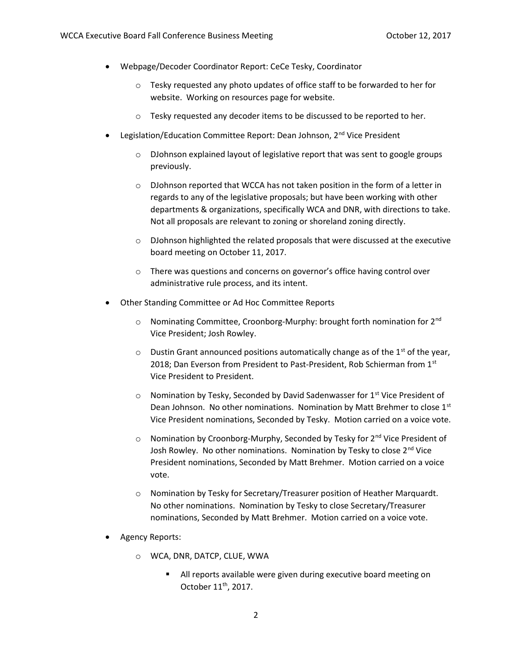- Webpage/Decoder Coordinator Report: CeCe Tesky, Coordinator
	- o Tesky requested any photo updates of office staff to be forwarded to her for website. Working on resources page for website.
	- o Tesky requested any decoder items to be discussed to be reported to her.
- Legislation/Education Committee Report: Dean Johnson, 2<sup>nd</sup> Vice President
	- o DJohnson explained layout of legislative report that was sent to google groups previously.
	- o DJohnson reported that WCCA has not taken position in the form of a letter in regards to any of the legislative proposals; but have been working with other departments & organizations, specifically WCA and DNR, with directions to take. Not all proposals are relevant to zoning or shoreland zoning directly.
	- $\circ$  DJohnson highlighted the related proposals that were discussed at the executive board meeting on October 11, 2017.
	- o There was questions and concerns on governor's office having control over administrative rule process, and its intent.
- Other Standing Committee or Ad Hoc Committee Reports
	- o Nominating Committee, Croonborg-Murphy: brought forth nomination for 2nd Vice President; Josh Rowley.
	- $\circ$  Dustin Grant announced positions automatically change as of the 1<sup>st</sup> of the year, 2018; Dan Everson from President to Past-President, Rob Schierman from 1st Vice President to President.
	- $\circ$  Nomination by Tesky, Seconded by David Sadenwasser for 1<sup>st</sup> Vice President of Dean Johnson. No other nominations. Nomination by Matt Brehmer to close 1st Vice President nominations, Seconded by Tesky. Motion carried on a voice vote.
	- $\circ$  Nomination by Croonborg-Murphy, Seconded by Tesky for 2<sup>nd</sup> Vice President of Josh Rowley. No other nominations. Nomination by Tesky to close 2<sup>nd</sup> Vice President nominations, Seconded by Matt Brehmer. Motion carried on a voice vote.
	- o Nomination by Tesky for Secretary/Treasurer position of Heather Marquardt. No other nominations. Nomination by Tesky to close Secretary/Treasurer nominations, Seconded by Matt Brehmer. Motion carried on a voice vote.
- Agency Reports:
	- o WCA, DNR, DATCP, CLUE, WWA
		- **All reports available were given during executive board meeting on** October 11<sup>th</sup>, 2017.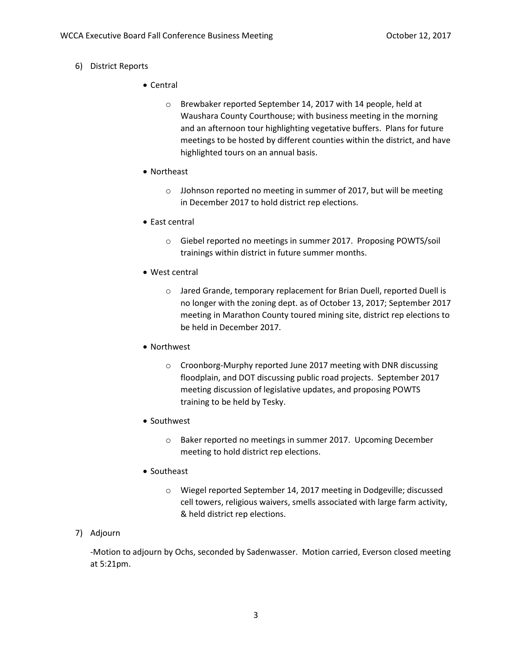- 6) District Reports
	- Central
		- o Brewbaker reported September 14, 2017 with 14 people, held at Waushara County Courthouse; with business meeting in the morning and an afternoon tour highlighting vegetative buffers. Plans for future meetings to be hosted by different counties within the district, and have highlighted tours on an annual basis.
	- Northeast
		- o JJohnson reported no meeting in summer of 2017, but will be meeting in December 2017 to hold district rep elections.
	- East central
		- o Giebel reported no meetings in summer 2017. Proposing POWTS/soil trainings within district in future summer months.
	- West central
		- o Jared Grande, temporary replacement for Brian Duell, reported Duell is no longer with the zoning dept. as of October 13, 2017; September 2017 meeting in Marathon County toured mining site, district rep elections to be held in December 2017.
	- Northwest
		- o Croonborg-Murphy reported June 2017 meeting with DNR discussing floodplain, and DOT discussing public road projects. September 2017 meeting discussion of legislative updates, and proposing POWTS training to be held by Tesky.
	- Southwest
		- o Baker reported no meetings in summer 2017. Upcoming December meeting to hold district rep elections.
	- Southeast
		- o Wiegel reported September 14, 2017 meeting in Dodgeville; discussed cell towers, religious waivers, smells associated with large farm activity, & held district rep elections.

## 7) Adjourn

-Motion to adjourn by Ochs, seconded by Sadenwasser. Motion carried, Everson closed meeting at 5:21pm.